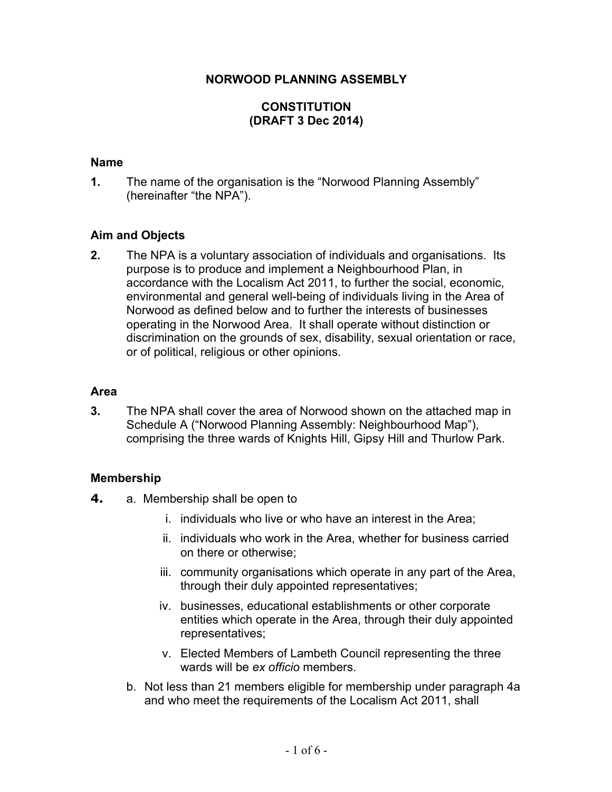### **NORWOOD PLANNING ASSEMBLY**

# **CONSTITUTION (DRAFT 3 Dec 2014)**

#### **Name**

**1.** The name of the organisation is the "Norwood Planning Assembly" (hereinafter "the NPA").

## **Aim and Objects**

**2.** The NPA is a voluntary association of individuals and organisations. Its purpose is to produce and implement a Neighbourhood Plan, in accordance with the Localism Act 2011, to further the social, economic, environmental and general well-being of individuals living in the Area of Norwood as defined below and to further the interests of businesses operating in the Norwood Area. It shall operate without distinction or discrimination on the grounds of sex, disability, sexual orientation or race, or of political, religious or other opinions.

#### **Area**

**3.** The NPA shall cover the area of Norwood shown on the attached map in Schedule A ("Norwood Planning Assembly: Neighbourhood Map"), comprising the three wards of Knights Hill, Gipsy Hill and Thurlow Park.

### **Membership**

- **4.** a. Membership shall be open to
	- i. individuals who live or who have an interest in the Area;
	- ii. individuals who work in the Area, whether for business carried on there or otherwise;
	- iii. community organisations which operate in any part of the Area, through their duly appointed representatives;
	- iv. businesses, educational establishments or other corporate entities which operate in the Area, through their duly appointed representatives;
	- v. Elected Members of Lambeth Council representing the three wards will be *ex officio* members.
	- b. Not less than 21 members eligible for membership under paragraph 4a and who meet the requirements of the Localism Act 2011, shall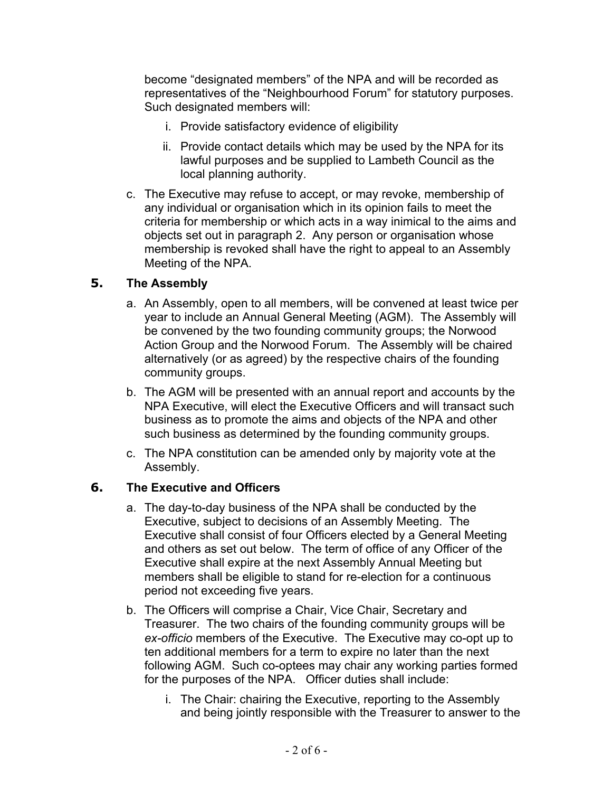become "designated members" of the NPA and will be recorded as representatives of the "Neighbourhood Forum" for statutory purposes. Such designated members will:

- i. Provide satisfactory evidence of eligibility
- ii. Provide contact details which may be used by the NPA for its lawful purposes and be supplied to Lambeth Council as the local planning authority.
- c. The Executive may refuse to accept, or may revoke, membership of any individual or organisation which in its opinion fails to meet the criteria for membership or which acts in a way inimical to the aims and objects set out in paragraph 2. Any person or organisation whose membership is revoked shall have the right to appeal to an Assembly Meeting of the NPA.

# **5. The Assembly**

- a. An Assembly, open to all members, will be convened at least twice per year to include an Annual General Meeting (AGM). The Assembly will be convened by the two founding community groups; the Norwood Action Group and the Norwood Forum. The Assembly will be chaired alternatively (or as agreed) by the respective chairs of the founding community groups.
- b. The AGM will be presented with an annual report and accounts by the NPA Executive, will elect the Executive Officers and will transact such business as to promote the aims and objects of the NPA and other such business as determined by the founding community groups.
- c. The NPA constitution can be amended only by majority vote at the Assembly.

# **6. The Executive and Officers**

- a. The day-to-day business of the NPA shall be conducted by the Executive, subject to decisions of an Assembly Meeting. The Executive shall consist of four Officers elected by a General Meeting and others as set out below. The term of office of any Officer of the Executive shall expire at the next Assembly Annual Meeting but members shall be eligible to stand for re-election for a continuous period not exceeding five years.
- b. The Officers will comprise a Chair, Vice Chair, Secretary and Treasurer. The two chairs of the founding community groups will be *ex-officio* members of the Executive. The Executive may co-opt up to ten additional members for a term to expire no later than the next following AGM. Such co-optees may chair any working parties formed for the purposes of the NPA. Officer duties shall include:
	- i. The Chair: chairing the Executive, reporting to the Assembly and being jointly responsible with the Treasurer to answer to the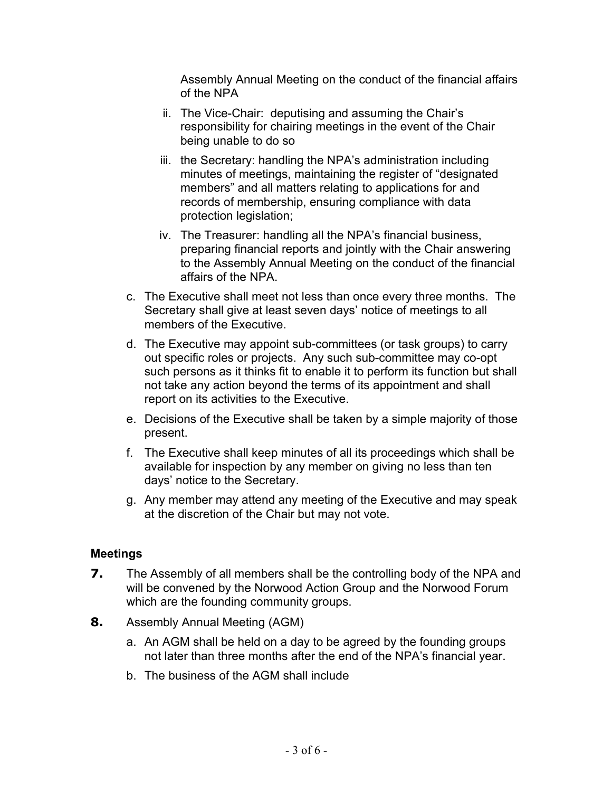Assembly Annual Meeting on the conduct of the financial affairs of the NPA

- ii. The Vice-Chair: deputising and assuming the Chair's responsibility for chairing meetings in the event of the Chair being unable to do so
- iii. the Secretary: handling the NPA's administration including minutes of meetings, maintaining the register of "designated members" and all matters relating to applications for and records of membership, ensuring compliance with data protection legislation;
- iv. The Treasurer: handling all the NPA's financial business, preparing financial reports and jointly with the Chair answering to the Assembly Annual Meeting on the conduct of the financial affairs of the NPA.
- c. The Executive shall meet not less than once every three months. The Secretary shall give at least seven days' notice of meetings to all members of the Executive.
- d. The Executive may appoint sub-committees (or task groups) to carry out specific roles or projects. Any such sub-committee may co-opt such persons as it thinks fit to enable it to perform its function but shall not take any action beyond the terms of its appointment and shall report on its activities to the Executive.
- e. Decisions of the Executive shall be taken by a simple majority of those present.
- f. The Executive shall keep minutes of all its proceedings which shall be available for inspection by any member on giving no less than ten days' notice to the Secretary.
- g. Any member may attend any meeting of the Executive and may speak at the discretion of the Chair but may not vote.

# **Meetings**

- **7.** The Assembly of all members shall be the controlling body of the NPA and will be convened by the Norwood Action Group and the Norwood Forum which are the founding community groups.
- **8.** Assembly Annual Meeting (AGM)
	- a. An AGM shall be held on a day to be agreed by the founding groups not later than three months after the end of the NPA's financial year.
	- b. The business of the AGM shall include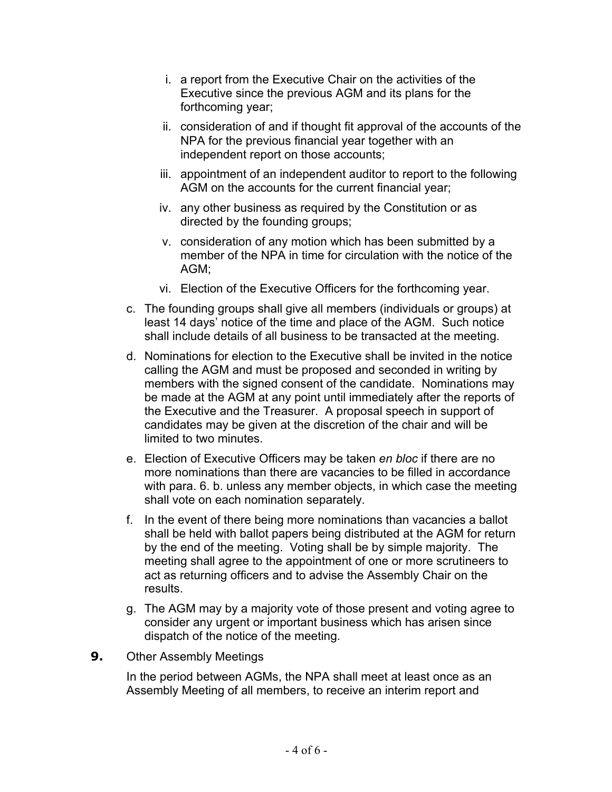- i. a report from the Executive Chair on the activities of the Executive since the previous AGM and its plans for the forthcoming year;
- ii. consideration of and if thought fit approval of the accounts of the NPA for the previous financial year together with an independent report on those accounts;
- iii. appointment of an independent auditor to report to the following AGM on the accounts for the current financial year;
- iv. any other business as required by the Constitution or as directed by the founding groups;
- v. consideration of any motion which has been submitted by a member of the NPA in time for circulation with the notice of the AGM;
- vi. Election of the Executive Officers for the forthcoming year.
- c. The founding groups shall give all members (individuals or groups) at least 14 days' notice of the time and place of the AGM. Such notice shall include details of all business to be transacted at the meeting.
- d. Nominations for election to the Executive shall be invited in the notice calling the AGM and must be proposed and seconded in writing by members with the signed consent of the candidate. Nominations may be made at the AGM at any point until immediately after the reports of the Executive and the Treasurer. A proposal speech in support of candidates may be given at the discretion of the chair and will be limited to two minutes.
- e. Election of Executive Officers may be taken *en bloc* if there are no more nominations than there are vacancies to be filled in accordance with para. 6. b. unless any member objects, in which case the meeting shall vote on each nomination separately.
- f. In the event of there being more nominations than vacancies a ballot shall be held with ballot papers being distributed at the AGM for return by the end of the meeting. Voting shall be by simple majority. The meeting shall agree to the appointment of one or more scrutineers to act as returning officers and to advise the Assembly Chair on the results.
- g. The AGM may by a majority vote of those present and voting agree to consider any urgent or important business which has arisen since dispatch of the notice of the meeting.
- **9.** Other Assembly Meetings

In the period between AGMs, the NPA shall meet at least once as an Assembly Meeting of all members, to receive an interim report and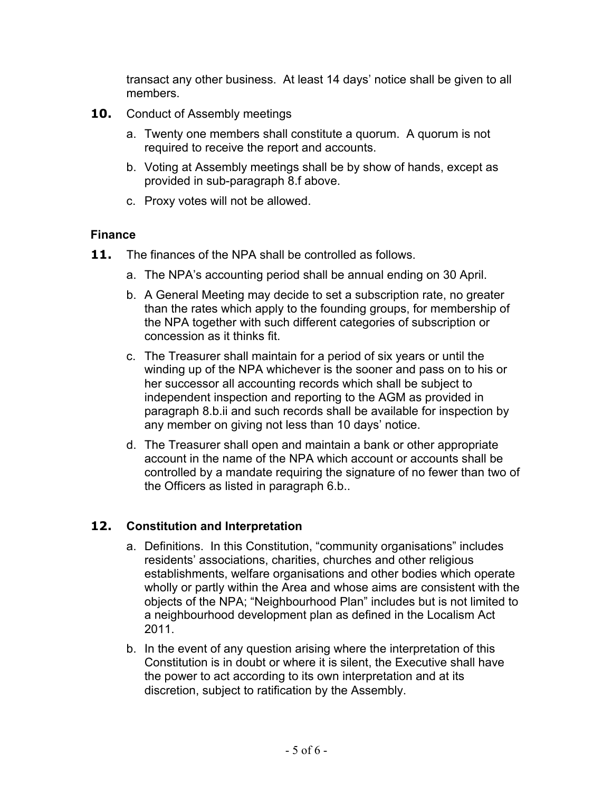transact any other business. At least 14 days' notice shall be given to all members.

- **10.** Conduct of Assembly meetings
	- a. Twenty one members shall constitute a quorum. A quorum is not required to receive the report and accounts.
	- b. Voting at Assembly meetings shall be by show of hands, except as provided in sub-paragraph 8.f above.
	- c. Proxy votes will not be allowed.

## **Finance**

- **11.** The finances of the NPA shall be controlled as follows.
	- a. The NPA's accounting period shall be annual ending on 30 April.
	- b. A General Meeting may decide to set a subscription rate, no greater than the rates which apply to the founding groups, for membership of the NPA together with such different categories of subscription or concession as it thinks fit.
	- c. The Treasurer shall maintain for a period of six years or until the winding up of the NPA whichever is the sooner and pass on to his or her successor all accounting records which shall be subject to independent inspection and reporting to the AGM as provided in paragraph 8.b.ii and such records shall be available for inspection by any member on giving not less than 10 days' notice.
	- d. The Treasurer shall open and maintain a bank or other appropriate account in the name of the NPA which account or accounts shall be controlled by a mandate requiring the signature of no fewer than two of the Officers as listed in paragraph 6.b..

# **12. Constitution and Interpretation**

- a. Definitions. In this Constitution, "community organisations" includes residents' associations, charities, churches and other religious establishments, welfare organisations and other bodies which operate wholly or partly within the Area and whose aims are consistent with the objects of the NPA; "Neighbourhood Plan" includes but is not limited to a neighbourhood development plan as defined in the Localism Act 2011.
- b. In the event of any question arising where the interpretation of this Constitution is in doubt or where it is silent, the Executive shall have the power to act according to its own interpretation and at its discretion, subject to ratification by the Assembly.